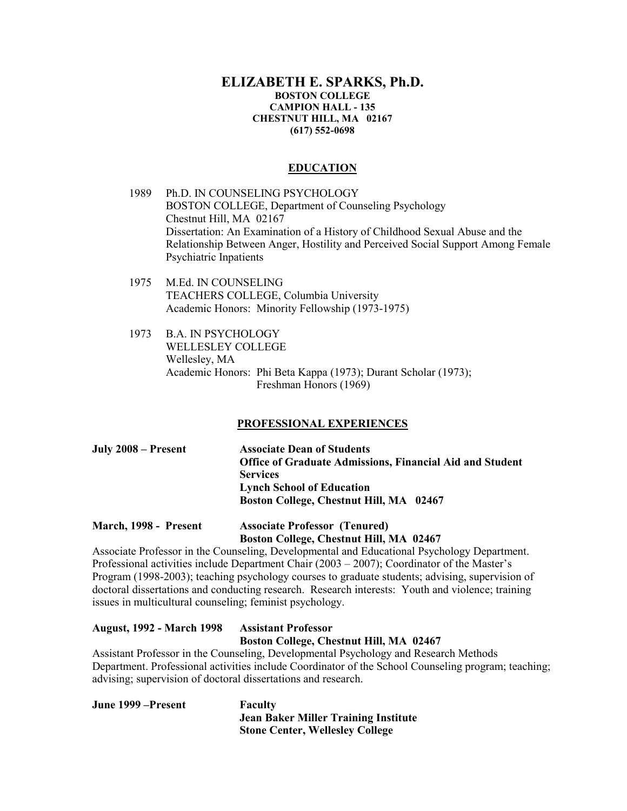## **ELIZABETH E. SPARKS, Ph.D. BOSTON COLLEGE CAMPION HALL - 135 CHESTNUT HILL, MA 02167 (617) 552-0698**

## **EDUCATION**

- 1989 Ph.D. IN COUNSELING PSYCHOLOGY BOSTON COLLEGE, Department of Counseling Psychology Chestnut Hill, MA 02167 Dissertation: An Examination of a History of Childhood Sexual Abuse and the Relationship Between Anger, Hostility and Perceived Social Support Among Female Psychiatric Inpatients
- 1975 M.Ed. IN COUNSELING TEACHERS COLLEGE, Columbia University Academic Honors: Minority Fellowship (1973-1975)
- 1973 B.A. IN PSYCHOLOGY WELLESLEY COLLEGE Wellesley, MA Academic Honors: Phi Beta Kappa (1973); Durant Scholar (1973); Freshman Honors (1969)

# **PROFESSIONAL EXPERIENCES**

| July 2008 – Present | <b>Associate Dean of Students</b>                               |
|---------------------|-----------------------------------------------------------------|
|                     | <b>Office of Graduate Admissions, Financial Aid and Student</b> |
|                     | <b>Services</b>                                                 |
|                     | <b>Lynch School of Education</b>                                |
|                     | Boston College, Chestnut Hill, MA 02467                         |

## **March, 1998 - Present Associate Professor (Tenured) Boston College, Chestnut Hill, MA 02467**

Associate Professor in the Counseling, Developmental and Educational Psychology Department. Professional activities include Department Chair (2003 – 2007); Coordinator of the Master's Program (1998-2003); teaching psychology courses to graduate students; advising, supervision of doctoral dissertations and conducting research. Research interests: Youth and violence; training issues in multicultural counseling; feminist psychology.

# **August, 1992 - March 1998 Assistant Professor Boston College, Chestnut Hill, MA 02467**

Assistant Professor in the Counseling, Developmental Psychology and Research Methods Department. Professional activities include Coordinator of the School Counseling program; teaching; advising; supervision of doctoral dissertations and research.

| June 1999 – Present | Faculty                                     |
|---------------------|---------------------------------------------|
|                     | <b>Jean Baker Miller Training Institute</b> |
|                     | <b>Stone Center, Wellesley College</b>      |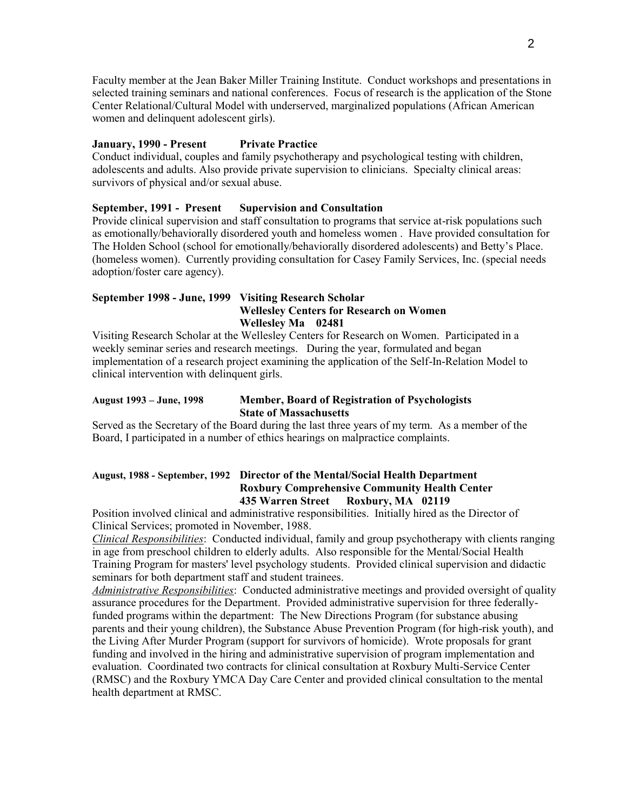Faculty member at the Jean Baker Miller Training Institute. Conduct workshops and presentations in selected training seminars and national conferences. Focus of research is the application of the Stone Center Relational/Cultural Model with underserved, marginalized populations (African American women and delinquent adolescent girls).

## **January, 1990 - Present Private Practice**

Conduct individual, couples and family psychotherapy and psychological testing with children, adolescents and adults. Also provide private supervision to clinicians. Specialty clinical areas: survivors of physical and/or sexual abuse.

## **September, 1991 - Present Supervision and Consultation**

Provide clinical supervision and staff consultation to programs that service at-risk populations such as emotionally/behaviorally disordered youth and homeless women . Have provided consultation for The Holden School (school for emotionally/behaviorally disordered adolescents) and Betty's Place. (homeless women). Currently providing consultation for Casey Family Services, Inc. (special needs adoption/foster care agency).

## **September 1998 - June, 1999 Visiting Research Scholar Wellesley Centers for Research on Women Wellesley Ma 02481**

Visiting Research Scholar at the Wellesley Centers for Research on Women. Participated in a weekly seminar series and research meetings. During the year, formulated and began implementation of a research project examining the application of the Self-In-Relation Model to clinical intervention with delinquent girls.

## **August 1993 – June, 1998 Member, Board of Registration of Psychologists State of Massachusetts**

Served as the Secretary of the Board during the last three years of my term. As a member of the Board, I participated in a number of ethics hearings on malpractice complaints.

## **August, 1988 - September, 1992 Director of the Mental/Social Health Department Roxbury Comprehensive Community Health Center 435 Warren Street Roxbury, MA 02119**

Position involved clinical and administrative responsibilities. Initially hired as the Director of Clinical Services; promoted in November, 1988.

*Clinical Responsibilities*: Conducted individual, family and group psychotherapy with clients ranging in age from preschool children to elderly adults. Also responsible for the Mental/Social Health Training Program for masters' level psychology students. Provided clinical supervision and didactic seminars for both department staff and student trainees.

*Administrative Responsibilities*: Conducted administrative meetings and provided oversight of quality assurance procedures for the Department. Provided administrative supervision for three federallyfunded programs within the department: The New Directions Program (for substance abusing parents and their young children), the Substance Abuse Prevention Program (for high-risk youth), and the Living After Murder Program (support for survivors of homicide). Wrote proposals for grant funding and involved in the hiring and administrative supervision of program implementation and evaluation. Coordinated two contracts for clinical consultation at Roxbury Multi-Service Center (RMSC) and the Roxbury YMCA Day Care Center and provided clinical consultation to the mental health department at RMSC.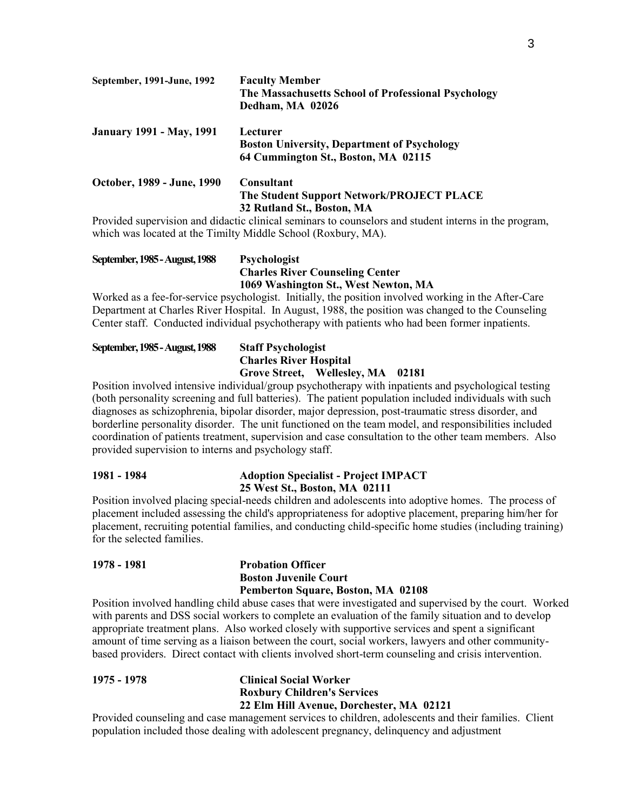| September, 1991-June, 1992      | <b>Faculty Member</b>                               |
|---------------------------------|-----------------------------------------------------|
|                                 | The Massachusetts School of Professional Psychology |
|                                 | Dedham, MA 02026                                    |
| <b>January 1991 - May, 1991</b> | Lecturer                                            |
|                                 | <b>Boston University, Department of Psychology</b>  |
|                                 | 64 Cummington St., Boston, MA 02115                 |
| October, 1989 - June, 1990      | <b>Consultant</b>                                   |
|                                 | The Student Support Network/PROJECT PLACE           |
|                                 | 32 Rutland St., Boston, MA                          |

Provided supervision and didactic clinical seminars to counselors and student interns in the program, which was located at the Timilty Middle School (Roxbury, MA).

| September, 1985 - August, 1988 | <b>Psychologist</b>                    |
|--------------------------------|----------------------------------------|
|                                | <b>Charles River Counseling Center</b> |
|                                | 1069 Washington St., West Newton, MA   |

Worked as a fee-for-service psychologist. Initially, the position involved working in the After-Care Department at Charles River Hospital. In August, 1988, the position was changed to the Counseling Center staff. Conducted individual psychotherapy with patients who had been former inpatients.

# **September, 1985 -August, 1988 Staff Psychologist Charles River Hospital Grove Street, Wellesley, MA 02181**

Position involved intensive individual/group psychotherapy with inpatients and psychological testing (both personality screening and full batteries). The patient population included individuals with such diagnoses as schizophrenia, bipolar disorder, major depression, post-traumatic stress disorder, and borderline personality disorder. The unit functioned on the team model, and responsibilities included coordination of patients treatment, supervision and case consultation to the other team members. Also provided supervision to interns and psychology staff.

# **1981 - 1984 Adoption Specialist - Project IMPACT 25 West St., Boston, MA 02111**

Position involved placing special-needs children and adolescents into adoptive homes. The process of placement included assessing the child's appropriateness for adoptive placement, preparing him/her for placement, recruiting potential families, and conducting child-specific home studies (including training) for the selected families.

# **1978 - 1981 Probation Officer Boston Juvenile Court Pemberton Square, Boston, MA 02108**

Position involved handling child abuse cases that were investigated and supervised by the court. Worked with parents and DSS social workers to complete an evaluation of the family situation and to develop appropriate treatment plans. Also worked closely with supportive services and spent a significant amount of time serving as a liaison between the court, social workers, lawyers and other communitybased providers. Direct contact with clients involved short-term counseling and crisis intervention.

**1975 - 1978 Clinical Social Worker Roxbury Children's Services 22 Elm Hill Avenue, Dorchester, MA 02121**

Provided counseling and case management services to children, adolescents and their families. Client population included those dealing with adolescent pregnancy, delinquency and adjustment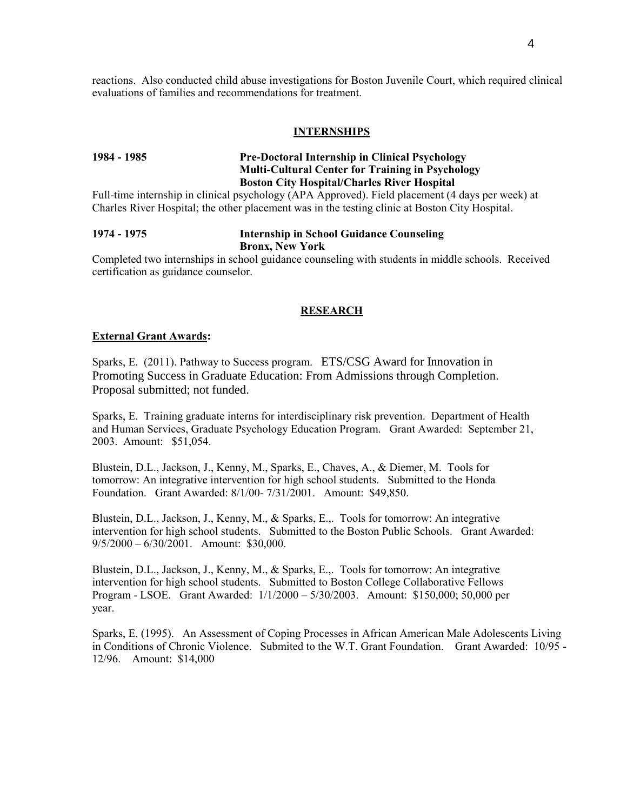reactions. Also conducted child abuse investigations for Boston Juvenile Court, which required clinical evaluations of families and recommendations for treatment.

#### **INTERNSHIPS**

# **1984 - 1985 Pre-Doctoral Internship in Clinical Psychology Multi-Cultural Center for Training in Psychology Boston City Hospital/Charles River Hospital**

Full-time internship in clinical psychology (APA Approved). Field placement (4 days per week) at Charles River Hospital; the other placement was in the testing clinic at Boston City Hospital.

## **1974 - 1975 Internship in School Guidance Counseling Bronx, New York**

Completed two internships in school guidance counseling with students in middle schools. Received certification as guidance counselor.

#### **RESEARCH**

#### **External Grant Awards:**

Sparks, E. (2011). Pathway to Success program. ETS/CSG Award for Innovation in Promoting Success in Graduate Education: From Admissions through Completion. Proposal submitted; not funded.

Sparks, E. Training graduate interns for interdisciplinary risk prevention. Department of Health and Human Services, Graduate Psychology Education Program. Grant Awarded: September 21, 2003. Amount: \$51,054.

Blustein, D.L., Jackson, J., Kenny, M., Sparks, E., Chaves, A., & Diemer, M. Tools for tomorrow: An integrative intervention for high school students. Submitted to the Honda Foundation. Grant Awarded: 8/1/00- 7/31/2001. Amount: \$49,850.

Blustein, D.L., Jackson, J., Kenny, M., & Sparks, E.,. Tools for tomorrow: An integrative intervention for high school students. Submitted to the Boston Public Schools. Grant Awarded: 9/5/2000 – 6/30/2001. Amount: \$30,000.

Blustein, D.L., Jackson, J., Kenny, M., & Sparks, E.,. Tools for tomorrow: An integrative intervention for high school students. Submitted to Boston College Collaborative Fellows Program - LSOE. Grant Awarded: 1/1/2000 – 5/30/2003. Amount: \$150,000; 50,000 per year.

Sparks, E. (1995). An Assessment of Coping Processes in African American Male Adolescents Living in Conditions of Chronic Violence. Submited to the W.T. Grant Foundation. Grant Awarded: 10/95 - 12/96. Amount: \$14,000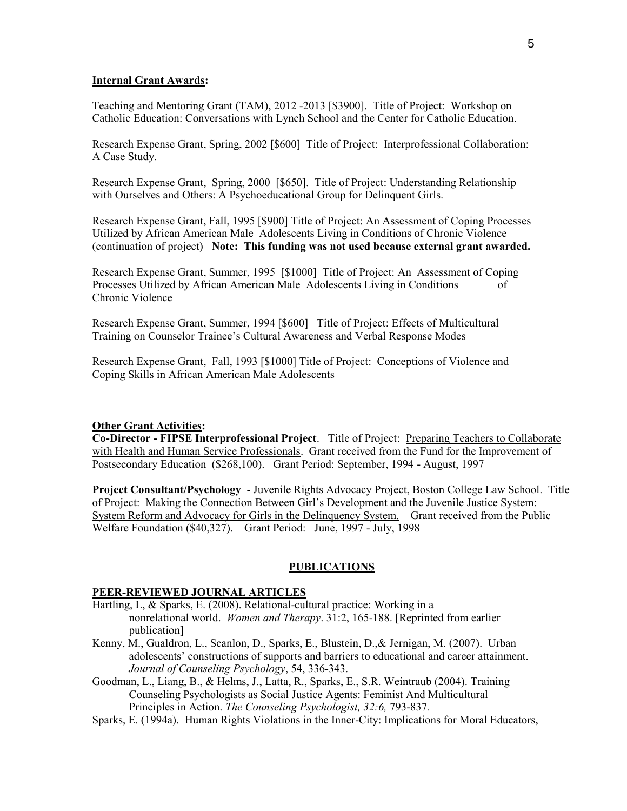## **Internal Grant Awards:**

Teaching and Mentoring Grant (TAM), 2012 -2013 [\$3900]. Title of Project: Workshop on Catholic Education: Conversations with Lynch School and the Center for Catholic Education.

Research Expense Grant, Spring, 2002 [\$600] Title of Project: Interprofessional Collaboration: A Case Study.

Research Expense Grant, Spring, 2000 [\$650]. Title of Project: Understanding Relationship with Ourselves and Others: A Psychoeducational Group for Delinquent Girls.

Research Expense Grant, Fall, 1995 [\$900] Title of Project: An Assessment of Coping Processes Utilized by African American Male Adolescents Living in Conditions of Chronic Violence (continuation of project) **Note: This funding was not used because external grant awarded.**

Research Expense Grant, Summer, 1995 [\$1000] Title of Project: An Assessment of Coping Processes Utilized by African American Male Adolescents Living in Conditions of Chronic Violence

Research Expense Grant, Summer, 1994 [\$600] Title of Project: Effects of Multicultural Training on Counselor Trainee's Cultural Awareness and Verbal Response Modes

Research Expense Grant, Fall, 1993 [\$1000] Title of Project: Conceptions of Violence and Coping Skills in African American Male Adolescents

#### **Other Grant Activities:**

**Co-Director - FIPSE Interprofessional Project**. Title of Project: Preparing Teachers to Collaborate with Health and Human Service Professionals. Grant received from the Fund for the Improvement of Postsecondary Education (\$268,100). Grant Period: September, 1994 - August, 1997

**Project Consultant/Psychology** - Juvenile Rights Advocacy Project, Boston College Law School. Title of Project: Making the Connection Between Girl's Development and the Juvenile Justice System: System Reform and Advocacy for Girls in the Delinquency System. Grant received from the Public Welfare Foundation (\$40,327). Grant Period: June, 1997 - July, 1998

#### **PUBLICATIONS**

## **PEER-REVIEWED JOURNAL ARTICLES**

- Hartling, L, & Sparks, E. (2008). Relational-cultural practice: Working in a nonrelational world. *Women and Therapy*. 31:2, 165-188. [Reprinted from earlier publication]
- Kenny, M., Gualdron, L., Scanlon, D., Sparks, E., Blustein, D.,& Jernigan, M. (2007). Urban adolescents' constructions of supports and barriers to educational and career attainment. *Journal of Counseling Psychology*, 54, 336-343.
- Goodman, L., Liang, B., & Helms, J., Latta, R., Sparks, E., S.R. Weintraub (2004). Training Counseling Psychologists as Social Justice Agents: Feminist And Multicultural Principles in Action. *The Counseling Psychologist, 32:6,* 793-837*.*
- Sparks, E. (1994a). Human Rights Violations in the Inner-City: Implications for Moral Educators,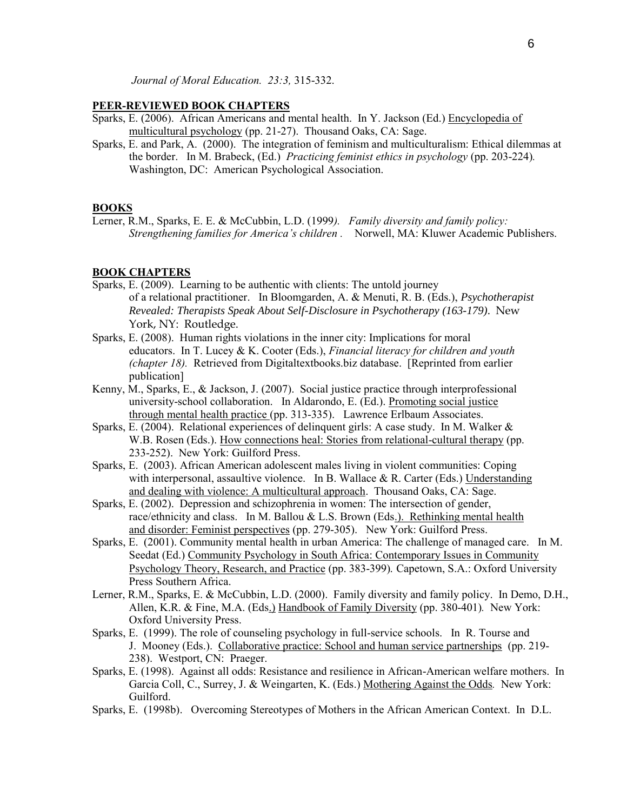*Journal of Moral Education. 23:3,* 315-332.

#### **PEER-REVIEWED BOOK CHAPTERS**

- Sparks, E. (2006). African Americans and mental health. In Y. Jackson (Ed.) Encyclopedia of multicultural psychology (pp. 21-27). Thousand Oaks, CA: Sage.
- Sparks, E. and Park, A. (2000). The integration of feminism and multiculturalism: Ethical dilemmas at the border. In M. Brabeck, (Ed.) *Practicing feminist ethics in psychology* (pp. 203-224)*.*  Washington, DC: American Psychological Association.

#### **BOOKS**

Lerner, R.M., Sparks, E. E. & McCubbin, L.D. (1999*). Family diversity and family policy: Strengthening families for America's children .* Norwell, MA: Kluwer Academic Publishers.

### **BOOK CHAPTERS**

- Sparks, E. (2009). Learning to be authentic with clients: The untold journey of a relational practitioner. In Bloomgarden, A. & Menuti, R. B. (Eds.), *Psychotherapist Revealed: Therapists Speak About Self-Disclosure in Psychotherapy (163-179)*. New York, NY: Routledge.
- Sparks, E. (2008). Human rights violations in the inner city: Implications for moral educators. In T. Lucey & K. Cooter (Eds.), *Financial literacy for children and youth (chapter 18).* Retrieved from Digitaltextbooks.biz database. [Reprinted from earlier publication]
- Kenny, M., Sparks, E., & Jackson, J. (2007). Social justice practice through interprofessional university-school collaboration. In Aldarondo, E. (Ed.). Promoting social justice through mental health practice (pp. 313-335). Lawrence Erlbaum Associates.
- Sparks, E. (2004). Relational experiences of delinquent girls: A case study. In M. Walker & W.B. Rosen (Eds.). How connections heal: Stories from relational-cultural therapy (pp. 233-252). New York: Guilford Press.
- Sparks, E. (2003). African American adolescent males living in violent communities: Coping with interpersonal, assaultive violence. In B. Wallace  $\& R$ . Carter (Eds.) Understanding and dealing with violence: A multicultural approach. Thousand Oaks, CA: Sage.
- Sparks, E. (2002). Depression and schizophrenia in women: The intersection of gender, race/ethnicity and class. In M. Ballou & L.S. Brown (Eds.). Rethinking mental health and disorder: Feminist perspectives (pp. 279-305). New York: Guilford Press.
- Sparks, E. (2001). Community mental health in urban America: The challenge of managed care. In M. Seedat (Ed.) Community Psychology in South Africa: Contemporary Issues in Community Psychology Theory, Research, and Practice (pp. 383-399)*.* Capetown, S.A.: Oxford University Press Southern Africa.
- Lerner, R.M., Sparks, E. & McCubbin, L.D. (2000). Family diversity and family policy. In Demo, D.H., Allen, K.R. & Fine, M.A. (Eds.) Handbook of Family Diversity (pp. 380-401)*.* New York: Oxford University Press.
- Sparks, E. (1999). The role of counseling psychology in full-service schools. In R. Tourse and J. Mooney (Eds.). Collaborative practice: School and human service partnerships (pp. 219- 238). Westport, CN: Praeger.
- Sparks, E. (1998). Against all odds: Resistance and resilience in African-American welfare mothers. In Garcia Coll, C., Surrey, J. & Weingarten, K. (Eds.) Mothering Against the Odds*.* New York: Guilford.
- Sparks, E. (1998b). Overcoming Stereotypes of Mothers in the African American Context. In D.L.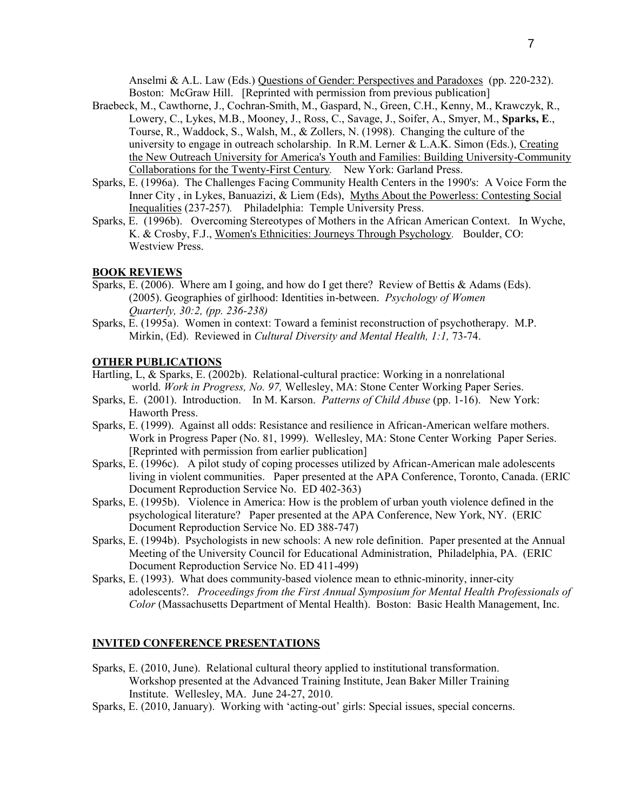Anselmi & A.L. Law (Eds.) Questions of Gender: Perspectives and Paradoxes(pp. 220-232). Boston: McGraw Hill. [Reprinted with permission from previous publication]

- Braebeck, M., Cawthorne, J., Cochran-Smith, M., Gaspard, N., Green, C.H., Kenny, M., Krawczyk, R., Lowery, C., Lykes, M.B., Mooney, J., Ross, C., Savage, J., Soifer, A., Smyer, M., **Sparks, E**., Tourse, R., Waddock, S., Walsh, M., & Zollers, N. (1998). Changing the culture of the university to engage in outreach scholarship. In R.M. Lerner  $& L.A.K.$  Simon (Eds.), Creating the New Outreach University for America's Youth and Families: Building University-Community Collaborations for the Twenty-First Century*.* New York: Garland Press.
- Sparks, E. (1996a). The Challenges Facing Community Health Centers in the 1990's: A Voice Form the Inner City, in Lykes, Banuazizi, & Liem (Eds), Myths About the Powerless: Contesting Social Inequalities (237-257)*.* Philadelphia: Temple University Press.
- Sparks, E. (1996b). Overcoming Stereotypes of Mothers in the African American Context. In Wyche, K. & Crosby, F.J., Women's Ethnicities: Journeys Through Psychology*.* Boulder, CO: Westview Press.

## **BOOK REVIEWS**

- Sparks, E. (2006). Where am I going, and how do I get there? Review of Bettis & Adams (Eds). (2005). Geographies of girlhood: Identities in-between. *Psychology of Women Quarterly, 30:2, (pp. 236-238)*
- Sparks, E. (1995a). Women in context: Toward a feminist reconstruction of psychotherapy. M.P. Mirkin, (Ed). Reviewed in *Cultural Diversity and Mental Health, 1:1,* 73-74.

## **OTHER PUBLICATIONS**

- Hartling, L, & Sparks, E. (2002b). Relational-cultural practice: Working in a nonrelational world. *Work in Progress, No. 97,* Wellesley, MA: Stone Center Working Paper Series.
- Sparks, E. (2001). Introduction. In M. Karson. *Patterns of Child Abuse* (pp. 1-16). New York: Haworth Press.
- Sparks, E. (1999). Against all odds: Resistance and resilience in African-American welfare mothers. Work in Progress Paper (No. 81, 1999). Wellesley, MA: Stone Center Working Paper Series. [Reprinted with permission from earlier publication]
- Sparks, E. (1996c). A pilot study of coping processes utilized by African-American male adolescents living in violent communities. Paper presented at the APA Conference, Toronto, Canada. (ERIC Document Reproduction Service No. ED 402-363)
- Sparks, E. (1995b). Violence in America: How is the problem of urban youth violence defined in the psychological literature? Paper presented at the APA Conference, New York, NY. (ERIC Document Reproduction Service No. ED 388-747)
- Sparks, E. (1994b). Psychologists in new schools: A new role definition. Paper presented at the Annual Meeting of the University Council for Educational Administration, Philadelphia, PA. (ERIC Document Reproduction Service No. ED 411-499)
- Sparks, E. (1993). What does community-based violence mean to ethnic-minority, inner-city adolescents?. *Proceedings from the First Annual Symposium for Mental Health Professionals of Color* (Massachusetts Department of Mental Health). Boston: Basic Health Management, Inc.

### **INVITED CONFERENCE PRESENTATIONS**

- Sparks, E. (2010, June). Relational cultural theory applied to institutional transformation. Workshop presented at the Advanced Training Institute, Jean Baker Miller Training Institute. Wellesley, MA. June 24-27, 2010.
- Sparks, E. (2010, January). Working with 'acting-out' girls: Special issues, special concerns.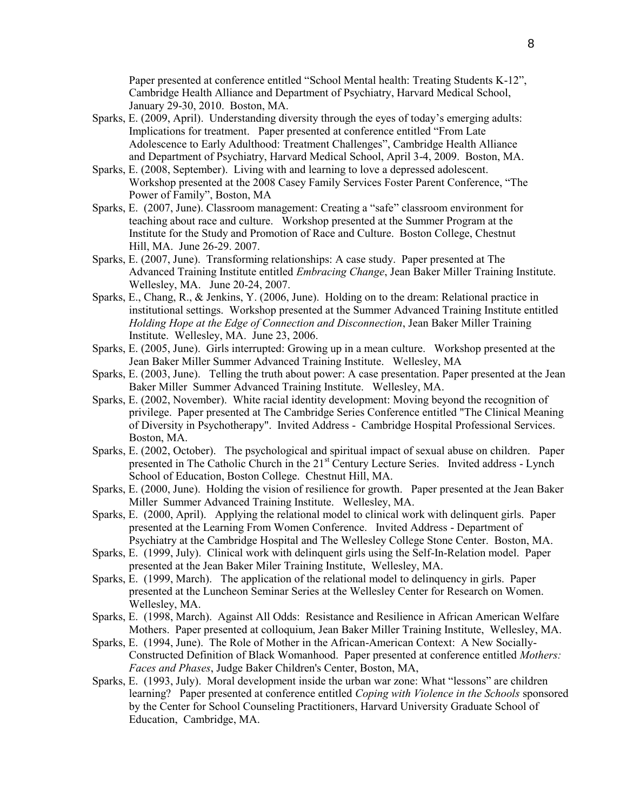Paper presented at conference entitled "School Mental health: Treating Students K-12", Cambridge Health Alliance and Department of Psychiatry, Harvard Medical School, January 29-30, 2010. Boston, MA.

- Sparks, E. (2009, April). Understanding diversity through the eyes of today's emerging adults: Implications for treatment. Paper presented at conference entitled "From Late Adolescence to Early Adulthood: Treatment Challenges", Cambridge Health Alliance and Department of Psychiatry, Harvard Medical School, April 3-4, 2009. Boston, MA.
- Sparks, E. (2008, September). Living with and learning to love a depressed adolescent. Workshop presented at the 2008 Casey Family Services Foster Parent Conference, "The Power of Family", Boston, MA
- Sparks, E. (2007, June). Classroom management: Creating a "safe" classroom environment for teaching about race and culture. Workshop presented at the Summer Program at the Institute for the Study and Promotion of Race and Culture. Boston College, Chestnut Hill, MA. June 26-29. 2007.
- Sparks, E. (2007, June). Transforming relationships: A case study. Paper presented at The Advanced Training Institute entitled *Embracing Change*, Jean Baker Miller Training Institute. Wellesley, MA. June 20-24, 2007.
- Sparks, E., Chang, R., & Jenkins, Y. (2006, June). Holding on to the dream: Relational practice in institutional settings. Workshop presented at the Summer Advanced Training Institute entitled *Holding Hope at the Edge of Connection and Disconnection*, Jean Baker Miller Training Institute. Wellesley, MA. June 23, 2006.
- Sparks, E. (2005, June). Girls interrupted: Growing up in a mean culture. Workshop presented at the Jean Baker Miller Summer Advanced Training Institute. Wellesley, MA
- Sparks, E. (2003, June). Telling the truth about power: A case presentation. Paper presented at the Jean Baker Miller Summer Advanced Training Institute. Wellesley, MA.
- Sparks, E. (2002, November). White racial identity development: Moving beyond the recognition of privilege. Paper presented at The Cambridge Series Conference entitled "The Clinical Meaning of Diversity in Psychotherapy". Invited Address - Cambridge Hospital Professional Services. Boston, MA.
- Sparks, E. (2002, October). The psychological and spiritual impact of sexual abuse on children. Paper presented in The Catholic Church in the 21<sup>st</sup> Century Lecture Series. Invited address - Lynch School of Education, Boston College. Chestnut Hill, MA.
- Sparks, E. (2000, June). Holding the vision of resilience for growth. Paper presented at the Jean Baker Miller Summer Advanced Training Institute. Wellesley, MA.
- Sparks, E. (2000, April). Applying the relational model to clinical work with delinquent girls. Paper presented at the Learning From Women Conference. Invited Address - Department of Psychiatry at the Cambridge Hospital and The Wellesley College Stone Center. Boston, MA.
- Sparks, E. (1999, July). Clinical work with delinquent girls using the Self-In-Relation model. Paper presented at the Jean Baker Miler Training Institute, Wellesley, MA.
- Sparks, E. (1999, March). The application of the relational model to delinquency in girls. Paper presented at the Luncheon Seminar Series at the Wellesley Center for Research on Women. Wellesley, MA.
- Sparks, E. (1998, March). Against All Odds: Resistance and Resilience in African American Welfare Mothers. Paper presented at colloquium, Jean Baker Miller Training Institute, Wellesley, MA.
- Sparks, E. (1994, June). The Role of Mother in the African-American Context: A New Socially-Constructed Definition of Black Womanhood. Paper presented at conference entitled *Mothers: Faces and Phases*, Judge Baker Children's Center, Boston, MA,
- Sparks, E. (1993, July). Moral development inside the urban war zone: What "lessons" are children learning? Paper presented at conference entitled *Coping with Violence in the Schools* sponsored by the Center for School Counseling Practitioners, Harvard University Graduate School of Education, Cambridge, MA.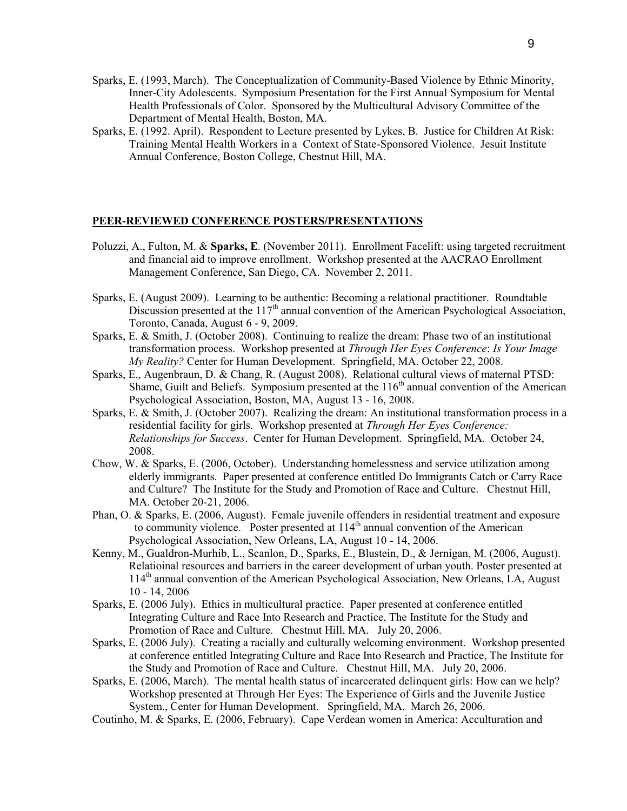- Sparks, E. (1993, March). The Conceptualization of Community-Based Violence by Ethnic Minority, Inner-City Adolescents. Symposium Presentation for the First Annual Symposium for Mental Health Professionals of Color. Sponsored by the Multicultural Advisory Committee of the Department of Mental Health, Boston, MA.
- Sparks, E. (1992. April). Respondent to Lecture presented by Lykes, B. Justice for Children At Risk: Training Mental Health Workers in a Context of State-Sponsored Violence. Jesuit Institute Annual Conference, Boston College, Chestnut Hill, MA.

### **PEER-REVIEWED CONFERENCE POSTERS/PRESENTATIONS**

- Poluzzi, A., Fulton, M. & **Sparks, E**. (November 2011). Enrollment Facelift: using targeted recruitment and financial aid to improve enrollment. Workshop presented at the AACRAO Enrollment Management Conference, San Diego, CA. November 2, 2011.
- Sparks, E. (August 2009). Learning to be authentic: Becoming a relational practitioner. Roundtable Discussion presented at the  $117<sup>th</sup>$  annual convention of the American Psychological Association, Toronto, Canada, August 6 - 9, 2009.
- Sparks, E. & Smith, J. (October 2008). Continuing to realize the dream: Phase two of an institutional transformation process. Workshop presented at *Through Her Eyes Conference*: *Is Your Image My Reality?* Center for Human Development. Springfield, MA. October 22, 2008.
- Sparks, E., Augenbraun, D. & Chang, R. (August 2008). Relational cultural views of maternal PTSD: Shame, Guilt and Beliefs. Symposium presented at the  $116<sup>th</sup>$  annual convention of the American Psychological Association, Boston, MA, August 13 - 16, 2008.
- Sparks, E. & Smith, J. (October 2007). Realizing the dream: An institutional transformation process in a residential facility for girls. Workshop presented at *Through Her Eyes Conference: Relationships for Success*. Center for Human Development. Springfield, MA. October 24, 2008.
- Chow, W. & Sparks, E. (2006, October). Understanding homelessness and service utilization among elderly immigrants. Paper presented at conference entitled Do Immigrants Catch or Carry Race and Culture? The Institute for the Study and Promotion of Race and Culture. Chestnut Hill, MA. October 20-21, 2006.
- Phan, O. & Sparks, E. (2006, August). Female juvenile offenders in residential treatment and exposure to community violence. Poster presented at 114<sup>th</sup> annual convention of the American Psychological Association, New Orleans, LA, August 10 - 14, 2006.
- Kenny, M., Gualdron-Murhib, L., Scanlon, D., Sparks, E., Blustein, D., & Jernigan, M. (2006, August). Relatioinal resources and barriers in the career development of urban youth. Poster presented at 114th annual convention of the American Psychological Association, New Orleans, LA, August 10 - 14, 2006
- Sparks, E. (2006 July). Ethics in multicultural practice. Paper presented at conference entitled Integrating Culture and Race Into Research and Practice, The Institute for the Study and Promotion of Race and Culture. Chestnut Hill, MA. July 20, 2006.
- Sparks, E. (2006 July). Creating a racially and culturally welcoming environment. Workshop presented at conference entitled Integrating Culture and Race Into Research and Practice, The Institute for the Study and Promotion of Race and Culture. Chestnut Hill, MA. July 20, 2006.
- Sparks, E. (2006, March). The mental health status of incarcerated delinquent girls: How can we help? Workshop presented at Through Her Eyes: The Experience of Girls and the Juvenile Justice System., Center for Human Development. Springfield, MA. March 26, 2006.
- Coutinho, M. & Sparks, E. (2006, February). Cape Verdean women in America: Acculturation and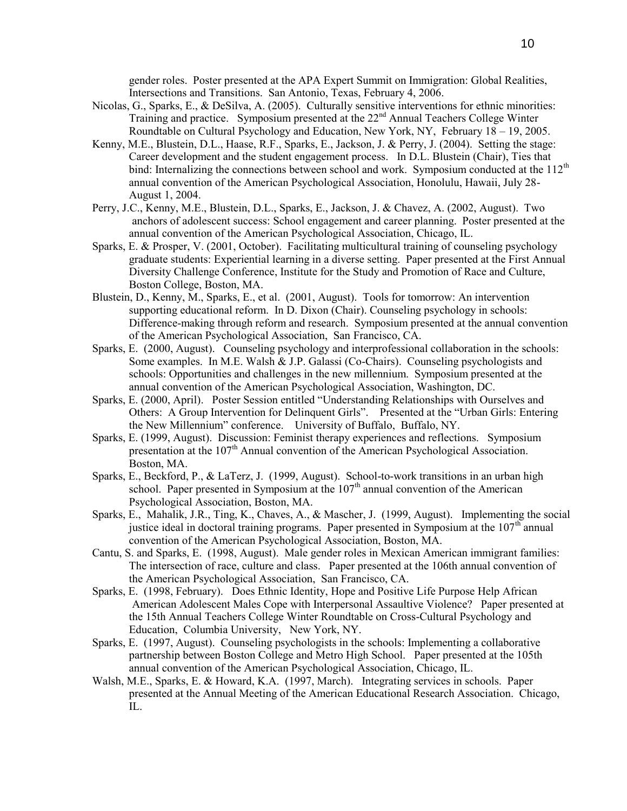gender roles. Poster presented at the APA Expert Summit on Immigration: Global Realities, Intersections and Transitions. San Antonio, Texas, February 4, 2006.

- Nicolas, G., Sparks, E., & DeSilva, A. (2005). Culturally sensitive interventions for ethnic minorities: Training and practice. Symposium presented at the 22<sup>nd</sup> Annual Teachers College Winter Roundtable on Cultural Psychology and Education, New York, NY, February 18 – 19, 2005.
- Kenny, M.E., Blustein, D.L., Haase, R.F., Sparks, E., Jackson, J. & Perry, J. (2004). Setting the stage: Career development and the student engagement process. In D.L. Blustein (Chair), Ties that bind: Internalizing the connections between school and work. Symposium conducted at the 112<sup>th</sup> annual convention of the American Psychological Association, Honolulu, Hawaii, July 28- August 1, 2004.
- Perry, J.C., Kenny, M.E., Blustein, D.L., Sparks, E., Jackson, J. & Chavez, A. (2002, August). Two anchors of adolescent success: School engagement and career planning. Poster presented at the annual convention of the American Psychological Association, Chicago, IL.
- Sparks, E. & Prosper, V. (2001, October). Facilitating multicultural training of counseling psychology graduate students: Experiential learning in a diverse setting. Paper presented at the First Annual Diversity Challenge Conference, Institute for the Study and Promotion of Race and Culture, Boston College, Boston, MA.
- Blustein, D., Kenny, M., Sparks, E., et al. (2001, August). Tools for tomorrow: An intervention supporting educational reform. In D. Dixon (Chair). Counseling psychology in schools: Difference-making through reform and research. Symposium presented at the annual convention of the American Psychological Association, San Francisco, CA.
- Sparks, E. (2000, August). Counseling psychology and interprofessional collaboration in the schools: Some examples. In M.E. Walsh & J.P. Galassi (Co-Chairs). Counseling psychologists and schools: Opportunities and challenges in the new millennium. Symposium presented at the annual convention of the American Psychological Association, Washington, DC.
- Sparks, E. (2000, April). Poster Session entitled "Understanding Relationships with Ourselves and Others: A Group Intervention for Delinquent Girls". Presented at the "Urban Girls: Entering the New Millennium" conference. University of Buffalo, Buffalo, NY.
- Sparks, E. (1999, August). Discussion: Feminist therapy experiences and reflections. Symposium presentation at the  $107<sup>th</sup>$  Annual convention of the American Psychological Association. Boston, MA.
- Sparks, E., Beckford, P., & LaTerz, J. (1999, August). School-to-work transitions in an urban high school. Paper presented in Symposium at the  $107<sup>th</sup>$  annual convention of the American Psychological Association, Boston, MA.
- Sparks, E., Mahalik, J.R., Ting, K., Chaves, A., & Mascher, J. (1999, August). Implementing the social justice ideal in doctoral training programs. Paper presented in Symposium at the  $107<sup>th</sup>$  annual convention of the American Psychological Association, Boston, MA.
- Cantu, S. and Sparks, E. (1998, August). Male gender roles in Mexican American immigrant families: The intersection of race, culture and class. Paper presented at the 106th annual convention of the American Psychological Association, San Francisco, CA.
- Sparks, E. (1998, February). Does Ethnic Identity, Hope and Positive Life Purpose Help African American Adolescent Males Cope with Interpersonal Assaultive Violence? Paper presented at the 15th Annual Teachers College Winter Roundtable on Cross-Cultural Psychology and Education, Columbia University, New York, NY.
- Sparks, E. (1997, August). Counseling psychologists in the schools: Implementing a collaborative partnership between Boston College and Metro High School. Paper presented at the 105th annual convention of the American Psychological Association, Chicago, IL.
- Walsh, M.E., Sparks, E. & Howard, K.A. (1997, March). Integrating services in schools. Paper presented at the Annual Meeting of the American Educational Research Association. Chicago, IL.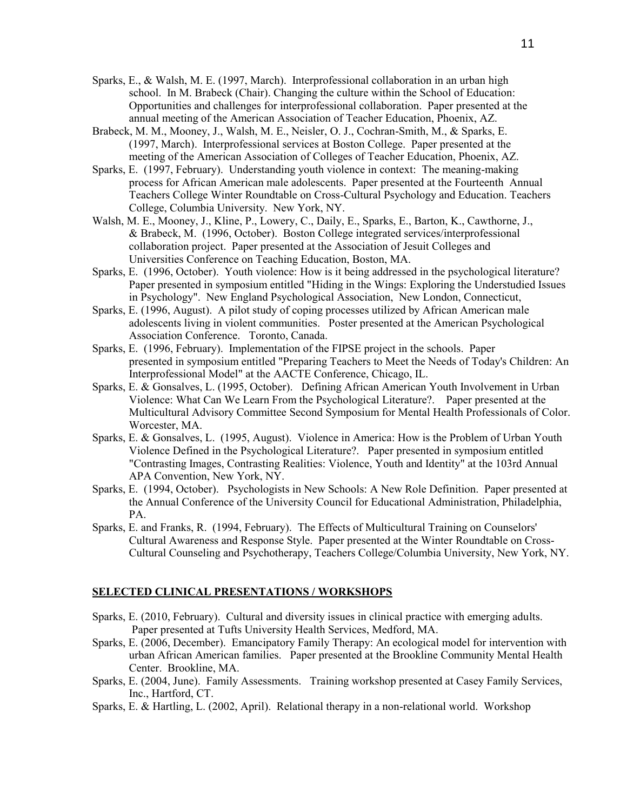- Sparks, E., & Walsh, M. E. (1997, March). Interprofessional collaboration in an urban high school. In M. Brabeck (Chair). Changing the culture within the School of Education: Opportunities and challenges for interprofessional collaboration. Paper presented at the annual meeting of the American Association of Teacher Education, Phoenix, AZ.
- Brabeck, M. M., Mooney, J., Walsh, M. E., Neisler, O. J., Cochran-Smith, M., & Sparks, E. (1997, March). Interprofessional services at Boston College. Paper presented at the meeting of the American Association of Colleges of Teacher Education, Phoenix, AZ.
- Sparks, E. (1997, February). Understanding youth violence in context: The meaning-making process for African American male adolescents. Paper presented at the Fourteenth Annual Teachers College Winter Roundtable on Cross-Cultural Psychology and Education. Teachers College, Columbia University. New York, NY.
- Walsh, M. E., Mooney, J., Kline, P., Lowery, C., Daily, E., Sparks, E., Barton, K., Cawthorne, J., & Brabeck, M. (1996, October). Boston College integrated services/interprofessional collaboration project. Paper presented at the Association of Jesuit Colleges and Universities Conference on Teaching Education, Boston, MA.
- Sparks, E. (1996, October). Youth violence: How is it being addressed in the psychological literature? Paper presented in symposium entitled "Hiding in the Wings: Exploring the Understudied Issues in Psychology". New England Psychological Association, New London, Connecticut,
- Sparks, E. (1996, August). A pilot study of coping processes utilized by African American male adolescents living in violent communities. Poster presented at the American Psychological Association Conference. Toronto, Canada.
- Sparks, E. (1996, February). Implementation of the FIPSE project in the schools. Paper presented in symposium entitled "Preparing Teachers to Meet the Needs of Today's Children: An Interprofessional Model" at the AACTE Conference, Chicago, IL.
- Sparks, E. & Gonsalves, L. (1995, October). Defining African American Youth Involvement in Urban Violence: What Can We Learn From the Psychological Literature?. Paper presented at the Multicultural Advisory Committee Second Symposium for Mental Health Professionals of Color. Worcester, MA.
- Sparks, E. & Gonsalves, L. (1995, August). Violence in America: How is the Problem of Urban Youth Violence Defined in the Psychological Literature?. Paper presented in symposium entitled "Contrasting Images, Contrasting Realities: Violence, Youth and Identity" at the 103rd Annual APA Convention, New York, NY.
- Sparks, E. (1994, October). Psychologists in New Schools: A New Role Definition. Paper presented at the Annual Conference of the University Council for Educational Administration, Philadelphia, PA.
- Sparks, E. and Franks, R. (1994, February). The Effects of Multicultural Training on Counselors' Cultural Awareness and Response Style. Paper presented at the Winter Roundtable on Cross-Cultural Counseling and Psychotherapy, Teachers College/Columbia University, New York, NY.

## **SELECTED CLINICAL PRESENTATIONS / WORKSHOPS**

- Sparks, E. (2010, February). Cultural and diversity issues in clinical practice with emerging adults. Paper presented at Tufts University Health Services, Medford, MA.
- Sparks, E. (2006, December). Emancipatory Family Therapy: An ecological model for intervention with urban African American families. Paper presented at the Brookline Community Mental Health Center. Brookline, MA.
- Sparks, E. (2004, June). Family Assessments. Training workshop presented at Casey Family Services, Inc., Hartford, CT.
- Sparks, E. & Hartling, L. (2002, April). Relational therapy in a non-relational world. Workshop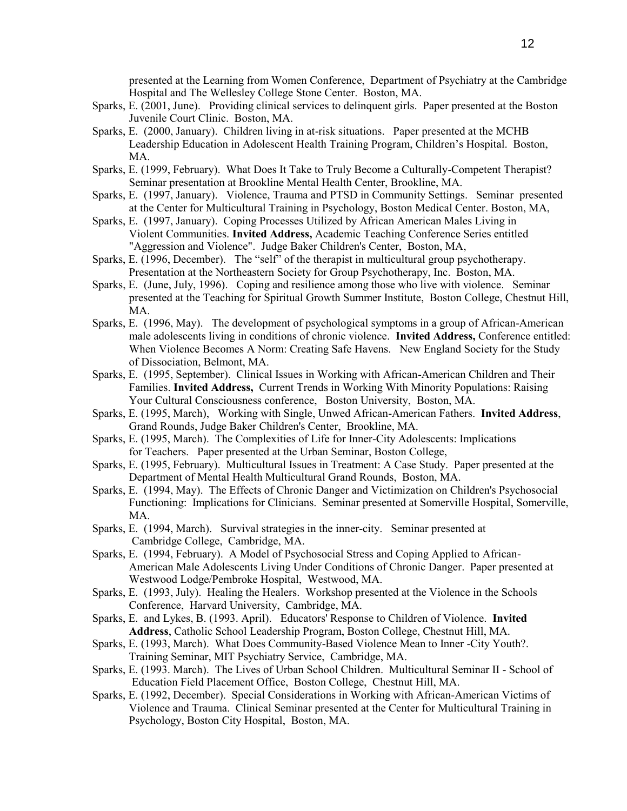presented at the Learning from Women Conference, Department of Psychiatry at the Cambridge Hospital and The Wellesley College Stone Center. Boston, MA.

- Sparks, E. (2001, June). Providing clinical services to delinquent girls. Paper presented at the Boston Juvenile Court Clinic. Boston, MA.
- Sparks, E. (2000, January). Children living in at-risk situations. Paper presented at the MCHB Leadership Education in Adolescent Health Training Program, Children's Hospital. Boston, MA.
- Sparks, E. (1999, February). What Does It Take to Truly Become a Culturally-Competent Therapist? Seminar presentation at Brookline Mental Health Center, Brookline, MA.
- Sparks, E. (1997, January). Violence, Trauma and PTSD in Community Settings. Seminar presented at the Center for Multicultural Training in Psychology, Boston Medical Center. Boston, MA,
- Sparks, E. (1997, January). Coping Processes Utilized by African American Males Living in Violent Communities. **Invited Address,** Academic Teaching Conference Series entitled "Aggression and Violence". Judge Baker Children's Center, Boston, MA,
- Sparks, E. (1996, December). The "self" of the therapist in multicultural group psychotherapy. Presentation at the Northeastern Society for Group Psychotherapy, Inc. Boston, MA.
- Sparks, E. (June, July, 1996). Coping and resilience among those who live with violence. Seminar presented at the Teaching for Spiritual Growth Summer Institute, Boston College, Chestnut Hill, MA.
- Sparks, E. (1996, May). The development of psychological symptoms in a group of African-American male adolescents living in conditions of chronic violence. **Invited Address,** Conference entitled: When Violence Becomes A Norm: Creating Safe Havens. New England Society for the Study of Dissociation, Belmont, MA.
- Sparks, E. (1995, September). Clinical Issues in Working with African-American Children and Their Families. **Invited Address,** Current Trends in Working With Minority Populations: Raising Your Cultural Consciousness conference, Boston University, Boston, MA.
- Sparks, E. (1995, March), Working with Single, Unwed African-American Fathers. **Invited Address**, Grand Rounds, Judge Baker Children's Center, Brookline, MA.
- Sparks, E. (1995, March). The Complexities of Life for Inner-City Adolescents: Implications for Teachers. Paper presented at the Urban Seminar, Boston College,
- Sparks, E. (1995, February). Multicultural Issues in Treatment: A Case Study. Paper presented at the Department of Mental Health Multicultural Grand Rounds, Boston, MA.
- Sparks, E. (1994, May). The Effects of Chronic Danger and Victimization on Children's Psychosocial Functioning: Implications for Clinicians. Seminar presented at Somerville Hospital, Somerville, MA.
- Sparks, E. (1994, March). Survival strategies in the inner-city. Seminar presented at Cambridge College, Cambridge, MA.
- Sparks, E. (1994, February). A Model of Psychosocial Stress and Coping Applied to African-American Male Adolescents Living Under Conditions of Chronic Danger. Paper presented at Westwood Lodge/Pembroke Hospital, Westwood, MA.
- Sparks, E. (1993, July). Healing the Healers. Workshop presented at the Violence in the Schools Conference, Harvard University, Cambridge, MA.
- Sparks, E. and Lykes, B. (1993. April). Educators' Response to Children of Violence. **Invited Address**, Catholic School Leadership Program, Boston College, Chestnut Hill, MA.
- Sparks, E. (1993, March). What Does Community-Based Violence Mean to Inner -City Youth?. Training Seminar, MIT Psychiatry Service, Cambridge, MA.
- Sparks, E. (1993. March). The Lives of Urban School Children. Multicultural Seminar II School of Education Field Placement Office, Boston College, Chestnut Hill, MA.
- Sparks, E. (1992, December). Special Considerations in Working with African-American Victims of Violence and Trauma. Clinical Seminar presented at the Center for Multicultural Training in Psychology, Boston City Hospital, Boston, MA.